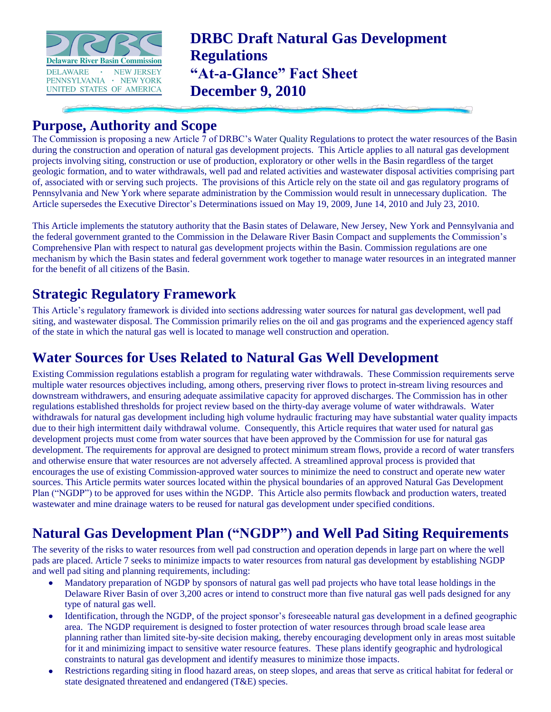

**DRBC Draft Natural Gas Development Regulations "At-a-Glance" Fact Sheet December 9, 2010** 

# **Purpose, Authority and Scope**

The Commission is proposing a new Article  $\bar{7}$  of DRBC's Water Quality Regulations to protect the water resources of the Basin during the construction and operation of natural gas development projects. This Article applies to all natural gas development projects involving siting, construction or use of production, exploratory or other wells in the Basin regardless of the target geologic formation, and to water withdrawals, well pad and related activities and wastewater disposal activities comprising part of, associated with or serving such projects. The provisions of this Article rely on the state oil and gas regulatory programs of Pennsylvania and New York where separate administration by the Commission would result in unnecessary duplication. The Article supersedes the Executive Director's Determinations issued on May 19, 2009, June 14, 2010 and July 23, 2010.

This Article implements the statutory authority that the Basin states of Delaware, New Jersey, New York and Pennsylvania and the federal government granted to the Commission in the Delaware River Basin Compact and supplements the Commission's Comprehensive Plan with respect to natural gas development projects within the Basin. Commission regulations are one mechanism by which the Basin states and federal government work together to manage water resources in an integrated manner for the benefit of all citizens of the Basin.

## **Strategic Regulatory Framework**

This Article's regulatory framework is divided into sections addressing water sources for natural gas development, well pad siting, and wastewater disposal. The Commission primarily relies on the oil and gas programs and the experienced agency staff of the state in which the natural gas well is located to manage well construction and operation.

## **Water Sources for Uses Related to Natural Gas Well Development**

Existing Commission regulations establish a program for regulating water withdrawals. These Commission requirements serve multiple water resources objectives including, among others, preserving river flows to protect in-stream living resources and downstream withdrawers, and ensuring adequate assimilative capacity for approved discharges. The Commission has in other regulations established thresholds for project review based on the thirty-day average volume of water withdrawals. Water withdrawals for natural gas development including high volume hydraulic fracturing may have substantial water quality impacts due to their high intermittent daily withdrawal volume. Consequently, this Article requires that water used for natural gas development projects must come from water sources that have been approved by the Commission for use for natural gas development. The requirements for approval are designed to protect minimum stream flows, provide a record of water transfers and otherwise ensure that water resources are not adversely affected. A streamlined approval process is provided that encourages the use of existing Commission-approved water sources to minimize the need to construct and operate new water sources. This Article permits water sources located within the physical boundaries of an approved Natural Gas Development Plan ("NGDP") to be approved for uses within the NGDP. This Article also permits flowback and production waters, treated wastewater and mine drainage waters to be reused for natural gas development under specified conditions.

## **Natural Gas Development Plan ("NGDP") and Well Pad Siting Requirements**

The severity of the risks to water resources from well pad construction and operation depends in large part on where the well pads are placed. Article 7 seeks to minimize impacts to water resources from natural gas development by establishing NGDP and well pad siting and planning requirements, including:

- Mandatory preparation of NGDP by sponsors of natural gas well pad projects who have total lease holdings in the Delaware River Basin of over 3,200 acres or intend to construct more than five natural gas well pads designed for any type of natural gas well.
- Identification, through the NGDP, of the project sponsor's foreseeable natural gas development in a defined geographic  $\bullet$ area. The NGDP requirement is designed to foster protection of water resources through broad scale lease area planning rather than limited site-by-site decision making, thereby encouraging development only in areas most suitable for it and minimizing impact to sensitive water resource features. These plans identify geographic and hydrological constraints to natural gas development and identify measures to minimize those impacts.
- Restrictions regarding siting in flood hazard areas, on steep slopes, and areas that serve as critical habitat for federal or state designated threatened and endangered (T&E) species.